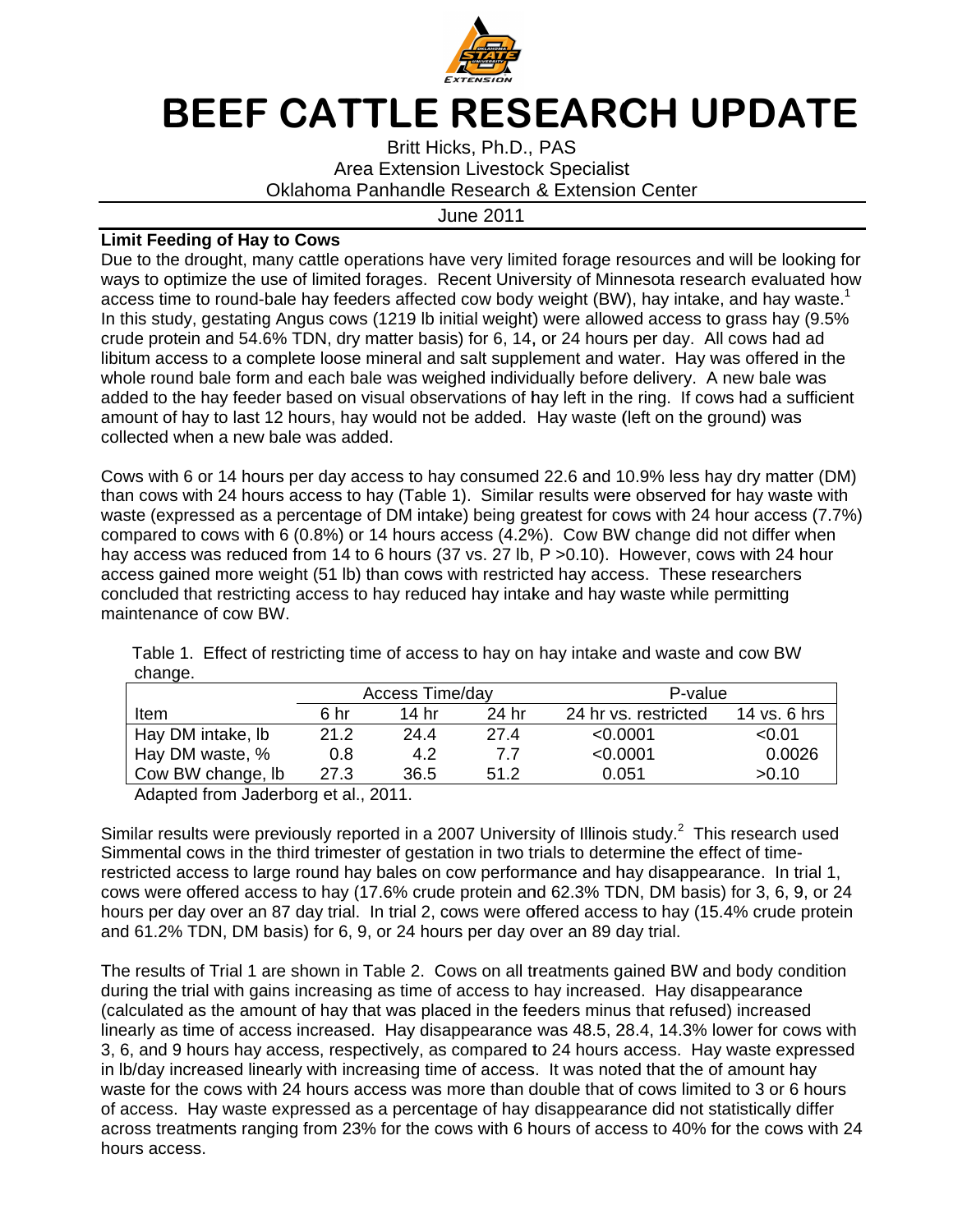

## BEEF CATTLE RESEARCH UPDATE

Oklahoma Panhandle Research & Extension Center Britt Hicks Hicks, Ph.D., PAS Britt Hicks, Ph.D., PAS<br>Area Extension Livestock Specialist

J June 2011

## **Limit Feeding of Hay to Cows to Cows**

Due to the drought, many cattle operations have very limited forage resources and will be looking for<br>ways to optimize the use of limited forages. Recent University of Minnesota research evaluated how ways to optimize the use of limited forages. Recent University of Minnesota research evaluated how ways to optimize the use of limited forages. Recent University of Minnesota research<br>access time to round-bale hay feeders affected cow body weight (BW), hay intake, an In this study, gestating Angus cows (1219 lb initial weight) were allowed access to grass hay (9.5% In this study, gestating Angus cows (1219 lb initial weight) were allowed access to grass hay (9.<br>crude protein and 54.6% TDN, dry matter basis) for 6, 14, or 24 hours per day. All cows had ad libitum access to a complete loose mineral and salt supplement and water. Hay was offered in the libitum access to a complete loose mineral and salt supplement and water. Hay was offered in th<br>whole round bale form and each bale was weighed individually before delivery. A new bale was added to the hay feeder based on visual observations of hay left in the ring. If co amount of hay to last 12 hours, hay would not be added. Hay waste (left on the ground) was collected when a new bale was added. **CONDIT THE CONSULT CONDIT AND THE CONSULT THE THE CONSULTS (Specialist)<br>
Limit Feeding of Hay to Cows<br>
Unne 2011<br>
Unne 2011<br>
Due to the drought, many cattle operations have very limited forage reduces<br>
ways to optimize t** the drought, many cattle operations have very limited forage resources and will be looking fo optimize the use of limited forages. Recent University of Minnesota research evaluated hot in time to round-bale hay feeders aff bught, many cattle operations have very limited forage resources and violence to use of limited forages. Recent University of Minnesota researce and to nound-bale hay feeders affected cow body weight (BW), hay intake, a ge to optimize the use of limited forages. Recent University of Minnesota research evaluated how s time to round-bale hay feeders affected cow body weight (BW), hay intake, and hay waste.<sup>1</sup> is tudy, gestating Angus cows (121 drought, many cattle operations have very limited forage resources and will be looking the set of limited by a cert bring the set of Minnesota research evaluated ho<br>time the use of limited forages. Recent University of Mi Hay was offered in the<br>rry. A new bale was<br>If cows had a sufficient<br>the ground) was<br>ess hay dry matter (DM)<br>rved for hay waste with<br>th 24 hour access (7.7%)

collected when a new bale was added.<br>Cows with 6 or 14 hours per day access to hay consumed 22.6 and 10.9% less hay dry matter (DM) amount of hay to last 12 hours, hay would not be added. Hay waste (left on the ground) was<br>collected when a new bale was added.<br>Cows with 6 or 14 hours per day access to hay consumed 22.6 and 10.9% less hay dry matter (DM than cows with 24 hours access to hay (Table 1). Similar results were observed for hay waste with<br>waste (expressed as a percentage of DM intake) being greatest for cows with 24 hour access (7.7% compared to cows with 6 (0.8%) or 14 hours access (4.2%). hay access was reduced from 14 to 6 hours (37 vs. 27 lb, P > 0.10). However, cows with 24 hour access gained more weight (51 lb) than cows with restricted hay access. These researchers than cows with 24 hours access to hay (Table 1). Similar results<br>waste (expressed as a percentage of DM intake) being greatest<br>compared to cows with 6 (0.8%) or 14 hours access (4.2%). Cov<br>hay access was reduced from 14 t maintenance of cow BW. BW. waste (expressed as a percentage of DM intake) being greatest for cows with 24 hour access<br>compared to cows with 6 (0.8%) or 14 hours access (4.2%). Cow BW change did not differ v<br>hay access was reduced from 14 to 6 hours to hay reduced hay intake and hay waste while per day access to hay consumed 22.6 and 10.9% less hay dry matter (DI<br>access to hay (Table 1). Similar results were observed for hay waste wit<br>ercentage of DM intake) being greatest for cows with 24 hour access (7.7<br>(0.8%) access gained more weight (51 lb) than cows with restricted hay access. These research<br>concluded that restricting access to hay reduced hay intake and hay waste while permittin<br>maintenance of cow BW.<br>Table 1. Effect of res ed to cows with 6 (0.8%) or 14 hours access (4.2%). Cow BW change did not differ ess was reduced from 14 to 6 hours (37 vs. 27 lb, P >0.10). However, cows with 24 gained more weight (51 lb) than cows with restricted hay ac

|                                      |      | Access Time/day |       | P-value              |              |  |
|--------------------------------------|------|-----------------|-------|----------------------|--------------|--|
| Item                                 | 6 hr | 14 hr           | 24 hr | 24 hr vs. restricted | 14 vs. 6 hrs |  |
| Hay DM intake, lb                    | 21.2 | 24.4            | 27.4  | < 0.0001             | < 0.01       |  |
| Hay DM waste, %                      | 0.8  | 4.2             | 7.7   | < 0.0001             | 0.0026       |  |
| Cow BW change, lb                    | 27.3 | 36.5            | 51.2  | 0.051                | >0.10        |  |
| Adapted from Jaderborg et al., 2011. |      |                 |       |                      |              |  |

Similar results were previously reported in a 2007 University of Illinois Similar results were previously reported in a 2007 University of Illinois study.<sup>2</sup> This research<br>Simmental cows in the third trimester of gestation in two trials to determine the effect of timerestricted access to large round hay bales on cow performance and hay disappearance. In trial 1, restricted access to large round hay bales on cow performance and hay disappearance. In trial 1,<br>cows were offered access to hay (17.6% crude protein and 62.3% TDN, DM basis) for 3, 6, 9, or 24 hours per day over an 87 day trial. In trial 2, cows were offered access to hay (15.4% crude protein <br>and 61.2% TDN, DM basis) for 6, 9, or 24 hours per day over an 89 day trial. hours per day over an 87 day trial. In trial 2, cows were offered access to ha<br>and 61.2% TDN, DM basis) for 6, 9, or 24 hours per day over an 89 day trial. Hay DM intake, lb<br>Hay DM waste, % 0.8 4.2<br>Cow BW change, lb 27.3 36.5<br>Adapted from Jaderborg et al., 2011.<br>Similar results were previously reported in a 2007<br>Simmental cows in the third trimester of gestation<br>restricted ac dapted from Jaderborg et al., 2011.<br>Ir results were previously reported in a 2007 University of Illinois st<br>ental cows in the third trimester of gestation in two trials to determi<br>ted access to large round hay bales on cow previously reported in a 2007 University of Illinois study.<sup>2</sup> This research used Simmental cows in the third trimester of gestation in two trials to determine the effect of t<br>restricted access to large round hay bales on cow performance and hay disappearance.<br>cows were offered access to hay (17.6% crud

The results of Trial 1 are shown in Table 2. Cows on all treatments gained BW and body condition The results of Trial 1 are shown in Table 2. Cows on all treatments gained BW and body con<br>during the trial with gains increasing as time of access to hay increased. Hay disappearance (calculated as the amount of hay that was placed in the feeders minus that linearly as time of access increased. 28.4, 14.3% lower for cows with 3, 6, and 9 hours hay access, respectively, as compared to 24 hours access. Hay waste expressed in Ib/day increased linearly with increasing time of access. It was noted waste for the cows with 24 hours access was more than double that of cows limited to 3 or 6 hours of access. Hay waste expressed as a percentage of hay disappearance did not statistically differ of access. Hay waste expressed as a percentage of hay disappearance did not statistically differ<br>across treatments ranging from 23% for the cows with 6 hours of access to 40% for the cows with 24 hours access. during the trial with gains increasing as time of access to hay increased. Hay<br>(calculated as the amount of hay that was placed in the feeders minus that ref<br>linearly as time of access increased. Hay disappearance was 48.5 ccess to large round hay bales on cow performance and hay disappearance. In offered access to hay (17.6% crude protein and 62.3% TDN, DM basis) for 3, 6, ay over an 87 day trial. In trial 2, cows were offered access to hay 6% crude protein and 62.3% TDN, DM basis) for 3, 6, 9, or 24 trial 2, cows were offered access to hay (15.4% crude protein r 24 hours per day over an 89 day trial.<br>ble 2. Cows on all treatments gained BW and body condition nown in Table 2. Cows on all treatments gained BW and body condition<br>creasing as time of access to hay increased. Hay disappearance<br>of hay that was placed in the feeders minus that refused) increased<br>creased. Hay disappear Frial 1 are shown in Table 2. Cows on all treatments gained BW and body cond<br>with gains increasing as time of access to hay increased. Hay disappearance<br>:he amount of hay that was placed in the feeders minus that refused large round hay bales on cow performance and hay disappearance. In trial 1, ccess to hay (17.6% crude protein and 62.3% TDN, DM basis) for 3, 6, 9, or 24 an 87 day trial. In trial 2, cows were offered access to hay (15.4%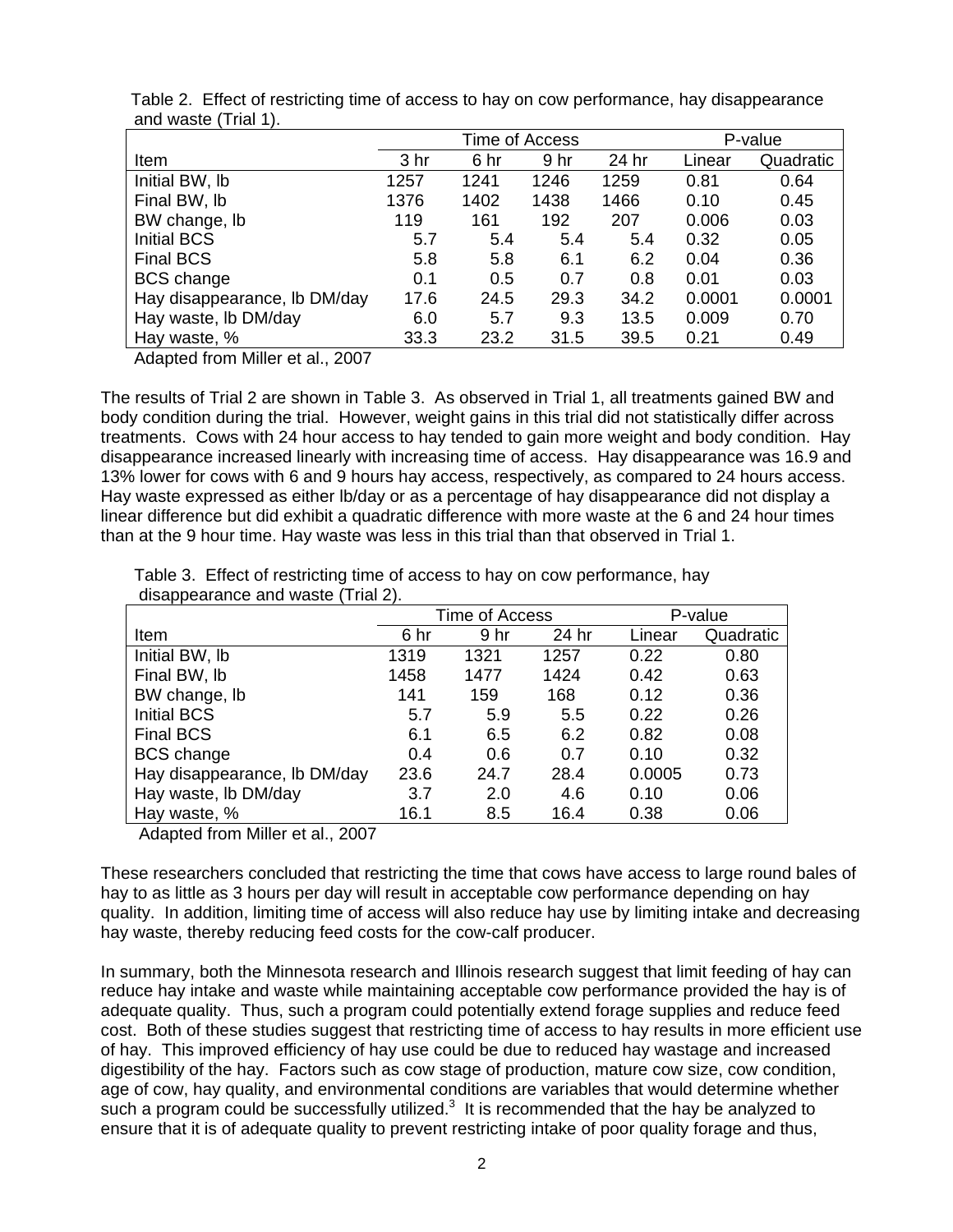|                              | Time of Access |      |      |       | P-value |           |
|------------------------------|----------------|------|------|-------|---------|-----------|
| Item                         | 3 hr           | 6 hr | 9 hr | 24 hr | Linear  | Quadratic |
| Initial BW, Ib               | 1257           | 1241 | 1246 | 1259  | 0.81    | 0.64      |
| Final BW, lb                 | 1376           | 1402 | 1438 | 1466  | 0.10    | 0.45      |
| BW change, lb                | 119            | 161  | 192  | 207   | 0.006   | 0.03      |
| <b>Initial BCS</b>           | 5.7            | 5.4  | 5.4  | 5.4   | 0.32    | 0.05      |
| <b>Final BCS</b>             | 5.8            | 5.8  | 6.1  | 6.2   | 0.04    | 0.36      |
| <b>BCS</b> change            | 0.1            | 0.5  | 0.7  | 0.8   | 0.01    | 0.03      |
| Hay disappearance, Ib DM/day | 17.6           | 24.5 | 29.3 | 34.2  | 0.0001  | 0.0001    |
| Hay waste, Ib DM/day         | 6.0            | 5.7  | 9.3  | 13.5  | 0.009   | 0.70      |
| Hay waste, %                 | 33.3           | 23.2 | 31.5 | 39.5  | 0.21    | 0.49      |

 Table 2. Effect of restricting time of access to hay on cow performance, hay disappearance and waste (Trial 1).

Adapted from Miller et al., 2007

The results of Trial 2 are shown in Table 3. As observed in Trial 1, all treatments gained BW and body condition during the trial. However, weight gains in this trial did not statistically differ across treatments. Cows with 24 hour access to hay tended to gain more weight and body condition. Hay disappearance increased linearly with increasing time of access. Hay disappearance was 16.9 and 13% lower for cows with 6 and 9 hours hay access, respectively, as compared to 24 hours access. Hay waste expressed as either lb/day or as a percentage of hay disappearance did not display a linear difference but did exhibit a quadratic difference with more waste at the 6 and 24 hour times than at the 9 hour time. Hay waste was less in this trial than that observed in Trial 1.

 Table 3. Effect of restricting time of access to hay on cow performance, hay disappearance and waste (Trial 2).

|                              |      | Time of Access | P-value |        |           |
|------------------------------|------|----------------|---------|--------|-----------|
| Item                         | 6 hr | 9 hr           | 24 hr   | Linear | Quadratic |
| Initial BW, Ib               | 1319 | 1321           | 1257    | 0.22   | 0.80      |
| Final BW, lb                 | 1458 | 1477           | 1424    | 0.42   | 0.63      |
| BW change, lb                | 141  | 159            | 168     | 0.12   | 0.36      |
| <b>Initial BCS</b>           | 5.7  | 5.9            | 5.5     | 0.22   | 0.26      |
| <b>Final BCS</b>             | 6.1  | 6.5            | 6.2     | 0.82   | 0.08      |
| <b>BCS</b> change            | 0.4  | 0.6            | 0.7     | 0.10   | 0.32      |
| Hay disappearance, Ib DM/day | 23.6 | 24.7           | 28.4    | 0.0005 | 0.73      |
| Hay waste, Ib DM/day         | 3.7  | 2.0            | 4.6     | 0.10   | 0.06      |
| Hay waste, %                 | 16.1 | 8.5            | 16.4    | 0.38   | 0.06      |

Adapted from Miller et al., 2007

These researchers concluded that restricting the time that cows have access to large round bales of hay to as little as 3 hours per day will result in acceptable cow performance depending on hay quality. In addition, limiting time of access will also reduce hay use by limiting intake and decreasing hay waste, thereby reducing feed costs for the cow-calf producer.

In summary, both the Minnesota research and Illinois research suggest that limit feeding of hay can reduce hay intake and waste while maintaining acceptable cow performance provided the hay is of adequate quality. Thus, such a program could potentially extend forage supplies and reduce feed cost. Both of these studies suggest that restricting time of access to hay results in more efficient use of hay. This improved efficiency of hay use could be due to reduced hay wastage and increased digestibility of the hay. Factors such as cow stage of production, mature cow size, cow condition, age of cow, hay quality, and environmental conditions are variables that would determine whether such a program could be successfully utilized. $3$  It is recommended that the hay be analyzed to ensure that it is of adequate quality to prevent restricting intake of poor quality forage and thus,